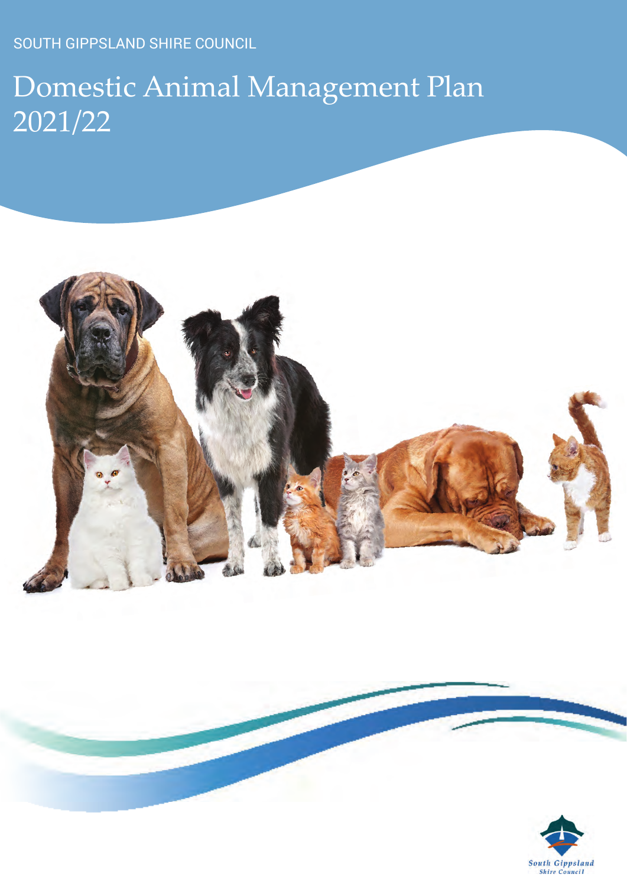SOUTH GIPPSLAND SHIRE COUNCIL

# Domestic Animal Management Plan 2021/22



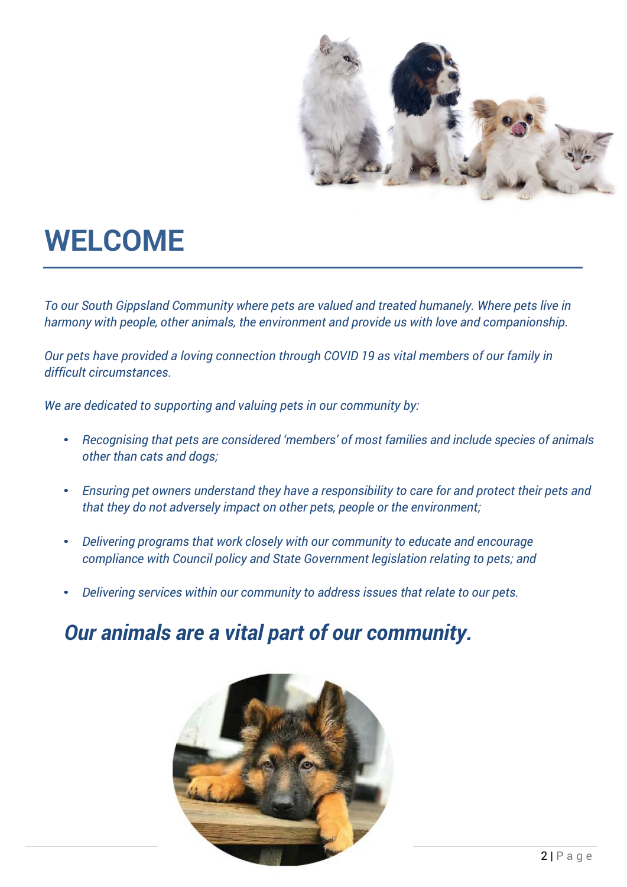

# <span id="page-1-0"></span>**WELCOME**

*To our South Gippsland Community where pets are valued and treated humanely. Where pets live in harmony with people, other animals, the environment and provide us with love and companionship.*

*Our pets have provided a loving connection through COVID 19 as vital members of our family in difficult circumstances.*

*We are dedicated to supporting and valuing pets in our community by:*

- *Recognising that pets are considered 'members' of most families and include species of animals other than cats and dogs;*
- *Ensuring pet owners understand they have a responsibility to care for and protect their pets and that they do not adversely impact on other pets, people or the environment;*
- *Delivering programs that work closely with our community to educate and encourage compliance with Council policy and State Government legislation relating to pets; and*
- *Delivering services within our community to address issues that relate to our pets.*

### *Our animals are a vital part of our community.*

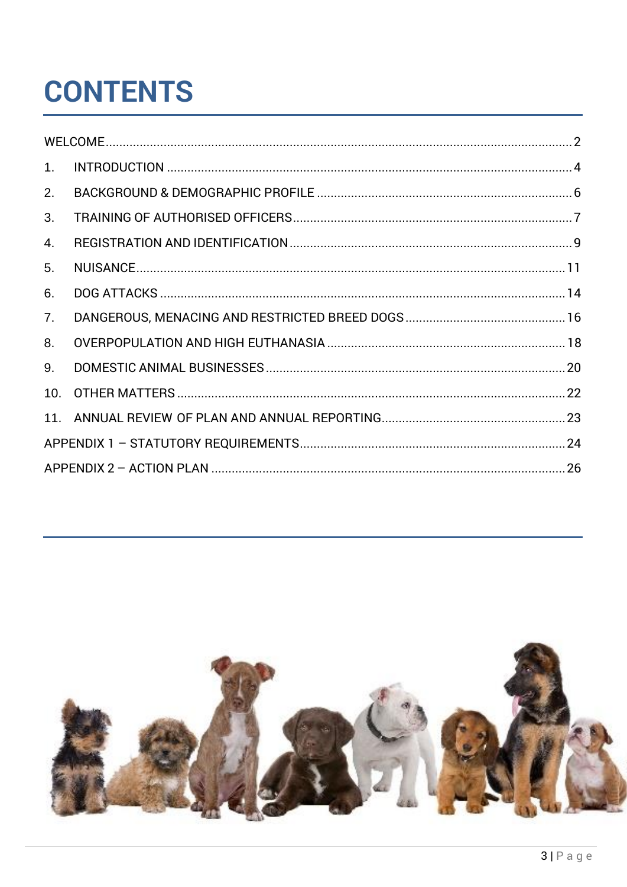# **CONTENTS**

| 1.  |  |
|-----|--|
| 2.  |  |
| 3.  |  |
| 4.  |  |
| 5.  |  |
| 6.  |  |
| 7.  |  |
| 8.  |  |
| 9.  |  |
| 10. |  |
|     |  |
|     |  |
|     |  |

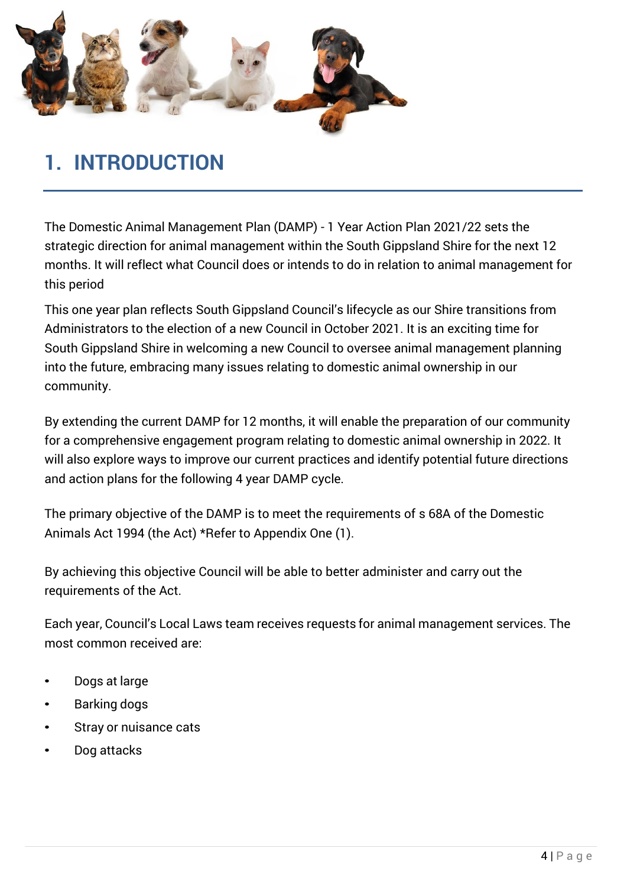<span id="page-3-0"></span>

### **1. INTRODUCTION**

The Domestic Animal Management Plan (DAMP) - 1 Year Action Plan 2021/22 sets the strategic direction for animal management within the South Gippsland Shire for the next 12 months. It will reflect what Council does or intends to do in relation to animal management for this period

This one year plan reflects South Gippsland Council's lifecycle as our Shire transitions from Administrators to the election of a new Council in October 2021. It is an exciting time for South Gippsland Shire in welcoming a new Council to oversee animal management planning into the future, embracing many issues relating to domestic animal ownership in our community.

By extending the current DAMP for 12 months, it will enable the preparation of our community for a comprehensive engagement program relating to domestic animal ownership in 2022. It will also explore ways to improve our current practices and identify potential future directions and action plans for the following 4 year DAMP cycle.

The primary objective of the DAMP is to meet the requirements of s 68A of the Domestic Animals Act 1994 (the Act) \*Refer to Appendix One (1).

By achieving this objective Council will be able to better administer and carry out the requirements of the Act.

Each year, Council's Local Laws team receives requests for animal management services. The most common received are:

- Dogs at large
- Barking dogs
- Stray or nuisance cats
- Dog attacks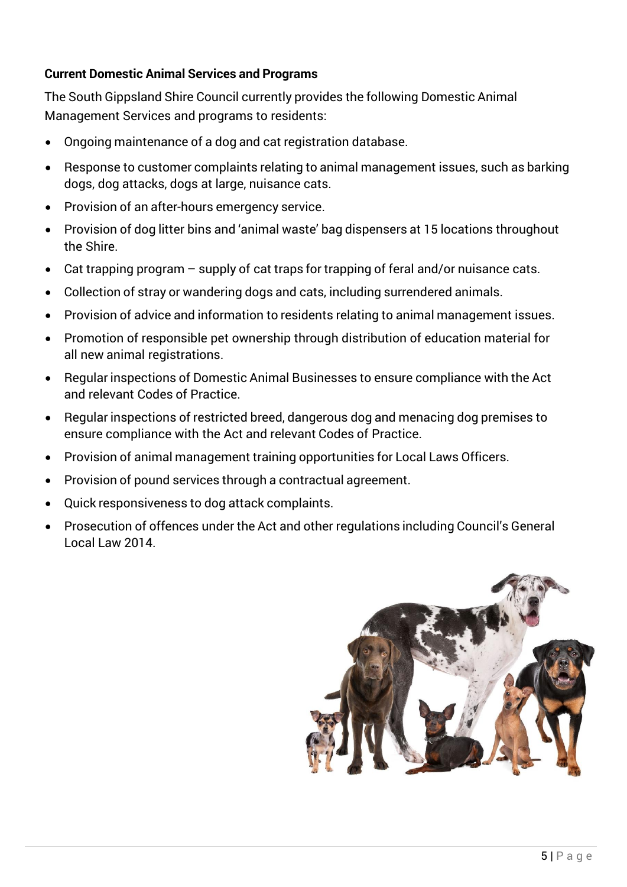#### **Current Domestic Animal Services and Programs**

The South Gippsland Shire Council currently provides the following Domestic Animal Management Services and programs to residents:

- Ongoing maintenance of a dog and cat registration database.
- Response to customer complaints relating to animal management issues, such as barking dogs, dog attacks, dogs at large, nuisance cats.
- Provision of an after-hours emergency service.
- Provision of dog litter bins and 'animal waste' bag dispensers at 15 locations throughout the Shire.
- Cat trapping program supply of cat traps for trapping of feral and/or nuisance cats.
- Collection of stray or wandering dogs and cats, including surrendered animals.
- Provision of advice and information to residents relating to animal management issues.
- Promotion of responsible pet ownership through distribution of education material for all new animal registrations.
- Regular inspections of Domestic Animal Businesses to ensure compliance with the Act and relevant Codes of Practice.
- Regular inspections of restricted breed, dangerous dog and menacing dog premises to ensure compliance with the Act and relevant Codes of Practice.
- Provision of animal management training opportunities for Local Laws Officers.
- Provision of pound services through a contractual agreement.
- Quick responsiveness to dog attack complaints.
- Prosecution of offences under the Act and other regulations including Council's General Local Law 2014.

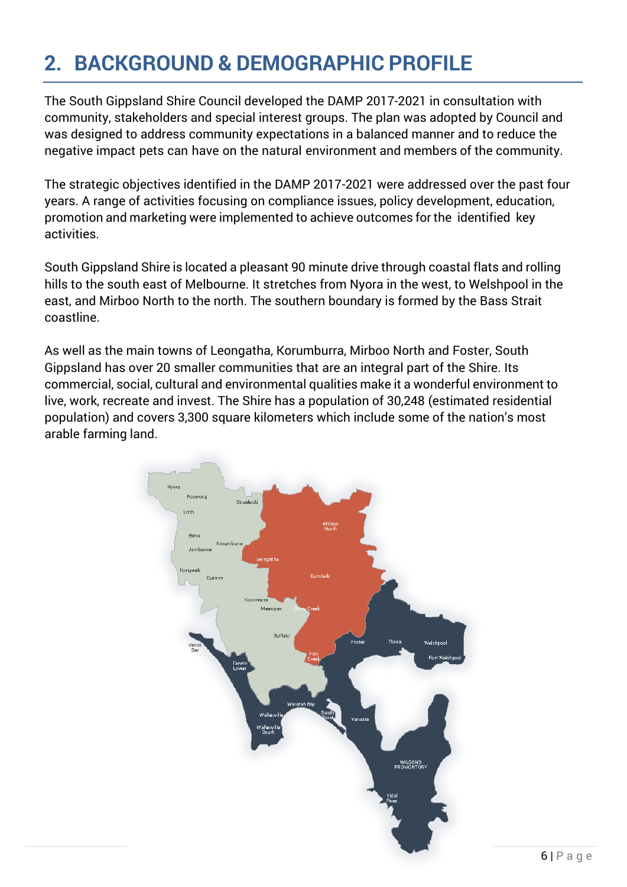### <span id="page-5-0"></span>**2. BACKGROUND & DEMOGRAPHIC PROFILE**

The South Gippsland Shire Council developed the DAMP 2017-2021 in consultation with community, stakeholders and special interest groups. The plan was adopted by Council and was designed to address community expectations in a balanced manner and to reduce the negative impact pets can have on the natural environment and members of the community.

The strategic objectives identified in the DAMP 2017-2021 were addressed over the past four years. A range of activities focusing on compliance issues, policy development, education, promotion and marketing were implemented to achieve outcomes for the identified key activities.

South Gippsland Shire is located a pleasant 90 minute drive through coastal flats and rolling hills to the south east of Melbourne. It stretches from Nyora in the west, to Welshpool in the east, and Mirboo North to the north. The southern boundary is formed by the Bass Strait coastline.

As well as the main towns of Leongatha, Korumburra, Mirboo North and Foster, South Gippsland has over 20 smaller communities that are an integral part of the Shire. Its commercial, social, cultural and environmental qualities make it a wonderful environment to live, work, recreate and invest. The Shire has a population of 30,248 (estimated residential population) and covers 3,300 square kilometers which include some of the nation's most arable farming land.

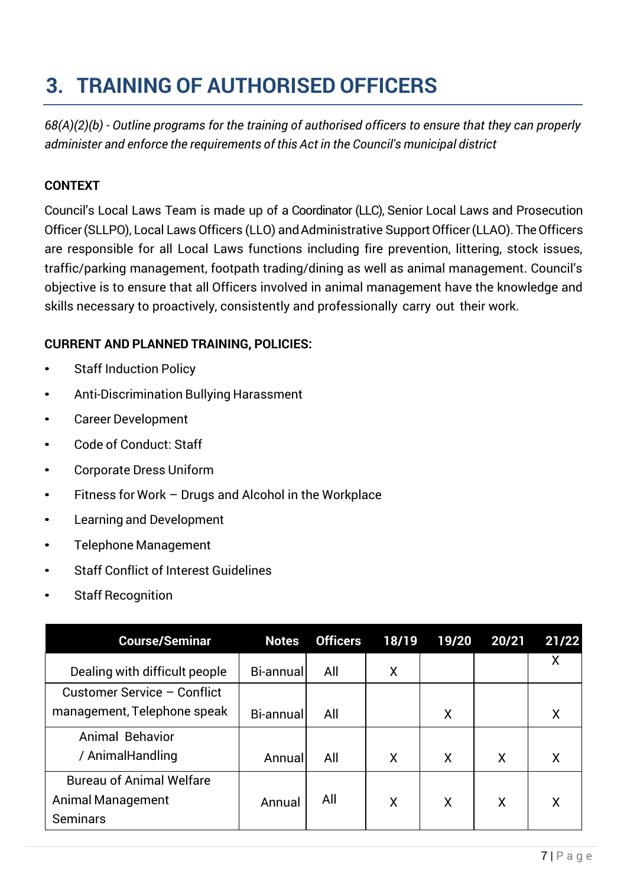# **3. TRAINING OF AUTHORISED OFFICERS**

*68(A)(2)(b) - Outline programs for the training of authorised officers to ensure that they can properly administer and enforce the requirements of this Act in the Council's municipal district*

#### **CONTEXT**

Council's Local Laws Team is made up of a Coordinator (LLC), Senior Local Laws and Prosecution Officer (SLLPO), Local Laws Officers (LLO) and Administrative Support Officer (LLAO). The Officers are responsible for all Local Laws functions including fire prevention, littering, stock issues, traffic/parking management, footpath trading/dining as well as animal management. Council's objective is to ensure that all Officers involved in animal management have the knowledge and skills necessary to proactively, consistently and professionally carry out their work.

#### **CURRENT AND PLANNED TRAINING, POLICIES:**

- **Staff Induction Policy**
- Anti-Discrimination Bullying Harassment
- Career Development
- Code of Conduct: Staff
- Corporate Dress Uniform
- Fitness for Work Drugs and Alcohol in the Workplace
- Learning and Development
- Telephone Management
- Staff Conflict of Interest Guidelines
- **Staff Recognition**

| <b>Course/Seminar</b>           | <b>Notes</b> | <b>Officers</b> | 18/19 | 19/20 | 20/21 | 21/22 |
|---------------------------------|--------------|-----------------|-------|-------|-------|-------|
| Dealing with difficult people   | Bi-annual    | All             | Χ     |       |       | X     |
| Customer Service - Conflict     |              |                 |       |       |       |       |
| management, Telephone speak     | Bi-annual    | All             |       | X     |       | Χ     |
| Animal Behavior                 |              |                 |       |       |       |       |
| / AnimalHandling                | Annual       | All             | X     | X     | X     | X     |
| <b>Bureau of Animal Welfare</b> |              |                 |       |       |       |       |
| <b>Animal Management</b>        | Annual       | All             | X     | X     | X     | Χ     |
| <b>Seminars</b>                 |              |                 |       |       |       |       |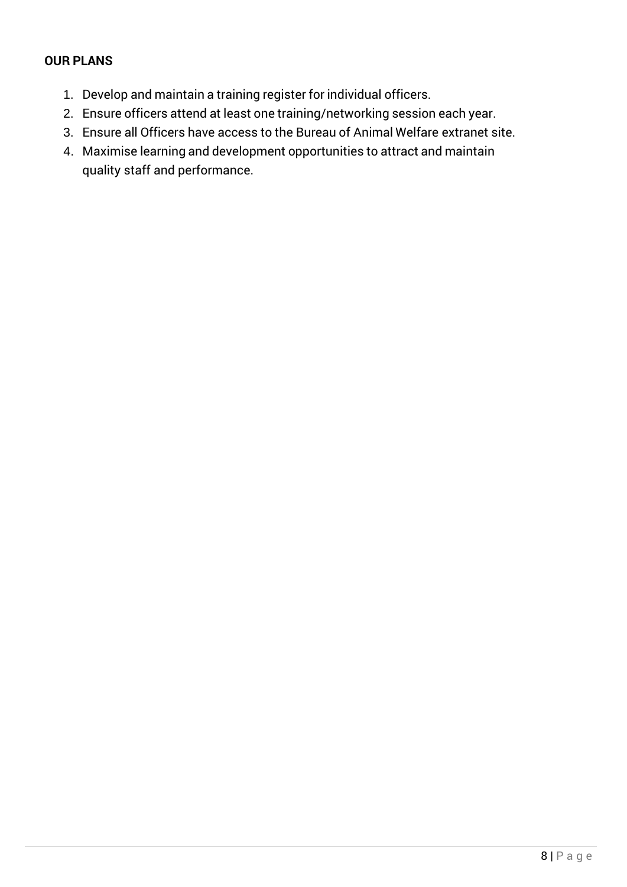- 1. Develop and maintain a training register for individual officers.
- 2. Ensure officers attend at least one training/networking session each year.
- 3. Ensure all Officers have access to the Bureau of Animal Welfare extranet site.
- 4. Maximise learning and development opportunities to attract and maintain quality staff and performance.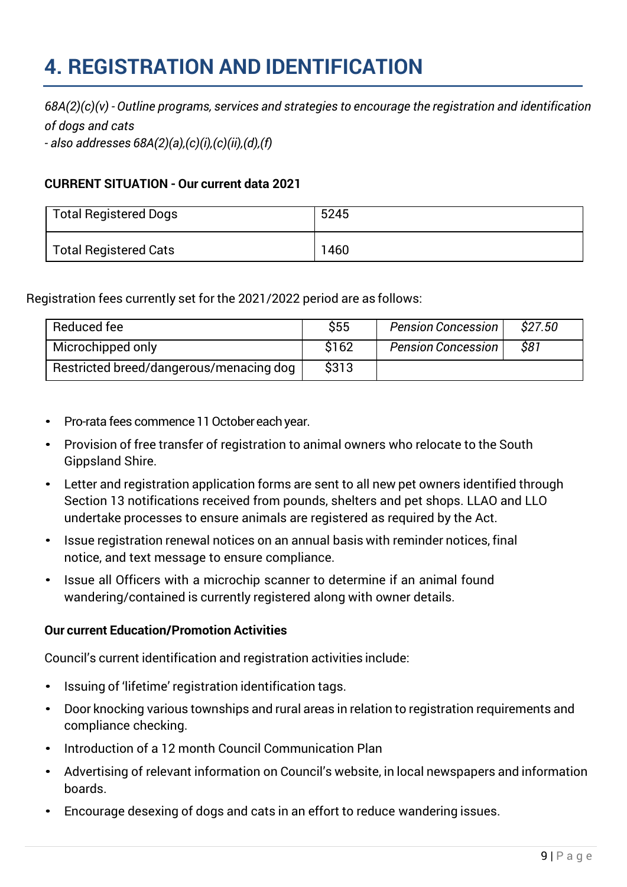### <span id="page-8-0"></span>**4. REGISTRATION AND IDENTIFICATION**

*68A(2)(c)(v) - Outline programs, services and strategies to encourage the registration and identification of dogs and cats*

*- also addresses 68A(2)(a),(c)(i),(c)(ii),(d),(f)*

#### **CURRENT SITUATION - Our current data 2021**

| <b>Total Registered Dogs</b> | 5245 |
|------------------------------|------|
| <b>Total Registered Cats</b> | 1460 |

Registration fees currently set for the 2021/2022 period are as follows:

| Reduced fee                             | \$55  | <b>Pension Concession</b> | \$27.50 |
|-----------------------------------------|-------|---------------------------|---------|
| Microchipped only                       | \$162 | <b>Pension Concession</b> | \$81    |
| Restricted breed/dangerous/menacing dog | \$313 |                           |         |

- Pro-rata fees commence 11 October each year.
- Provision of free transfer of registration to animal owners who relocate to the South Gippsland Shire.
- Letter and registration application forms are sent to all new pet owners identified through Section 13 notifications received from pounds, shelters and pet shops. LLAO and LLO undertake processes to ensure animals are registered as required by the Act.
- Issue registration renewal notices on an annual basis with reminder notices, final notice, and text message to ensure compliance.
- Issue all Officers with a microchip scanner to determine if an animal found wandering/contained is currently registered along with owner details.

#### **Our current Education/Promotion Activities**

Council's current identification and registration activities include:

- Issuing of 'lifetime' registration identification tags.
- Door knocking various townships and rural areas in relation to registration requirements and compliance checking.
- Introduction of a 12 month Council Communication Plan
- Advertising of relevant information on Council's website, in local newspapers and information boards.
- Encourage desexing of dogs and cats in an effort to reduce wandering issues.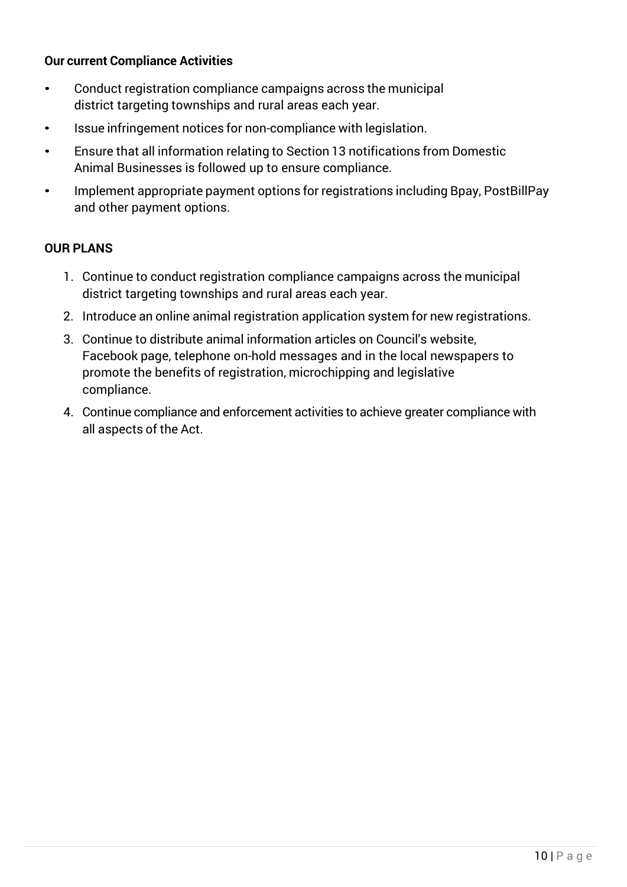#### **Our current Compliance Activities**

- Conduct registration compliance campaigns across the municipal district targeting townships and rural areas each year.
- Issue infringement notices for non-compliance with legislation.
- Ensure that all information relating to Section 13 notifications from Domestic Animal Businesses is followed up to ensure compliance.
- Implement appropriate payment options for registrations including Bpay, PostBillPay and other payment options.

- 1. Continue to conduct registration compliance campaigns across the municipal district targeting townships and rural areas each year.
- 2. Introduce an online animal registration application system for new registrations.
- 3. Continue to distribute animal information articles on Council's website, Facebook page, telephone on-hold messages and in the local newspapers to promote the benefits of registration, microchipping and legislative compliance.
- 4. Continue compliance and enforcement activities to achieve greater compliance with all aspects of the Act.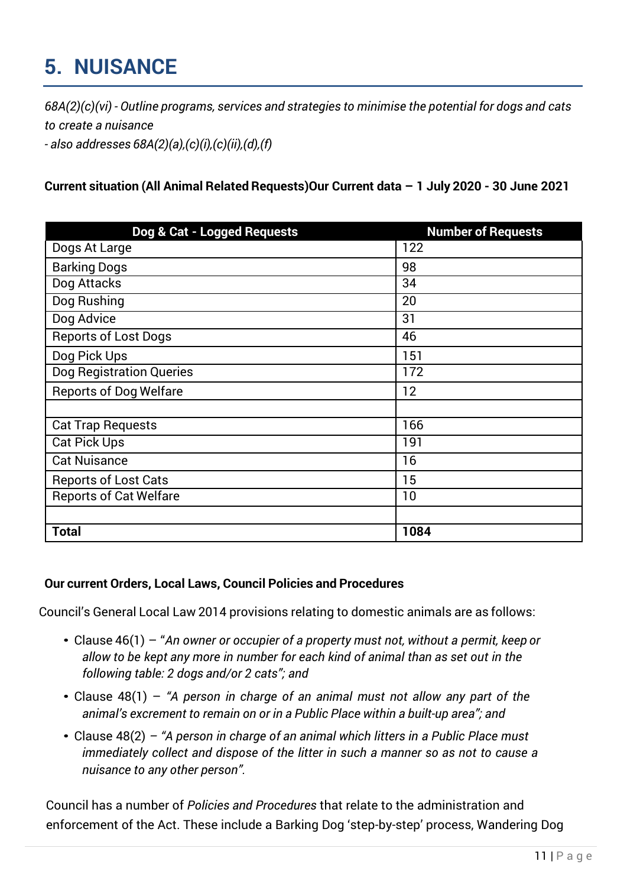# <span id="page-10-0"></span>**5. NUISANCE**

*68A(2)(c)(vi) - Outline programs, services and strategies to minimise the potential for dogs and cats to create a nuisance - also addresses 68A(2)(a),(c)(i),(c)(ii),(d),(f)*

**Current situation (All Animal Related Requests)Our Current data – 1 July 2020 - 30 June 2021**

| Dog & Cat - Logged Requests     | <b>Number of Requests</b> |
|---------------------------------|---------------------------|
| Dogs At Large                   | 122                       |
| <b>Barking Dogs</b>             | 98                        |
| Dog Attacks                     | 34                        |
| Dog Rushing                     | 20                        |
| Dog Advice                      | 31                        |
| <b>Reports of Lost Dogs</b>     | 46                        |
| Dog Pick Ups                    | 151                       |
| <b>Dog Registration Queries</b> | 172                       |
| <b>Reports of Dog Welfare</b>   | 12                        |
|                                 |                           |
| <b>Cat Trap Requests</b>        | 166                       |
| <b>Cat Pick Ups</b>             | 191                       |
| <b>Cat Nuisance</b>             | 16                        |
| <b>Reports of Lost Cats</b>     | 15                        |
| <b>Reports of Cat Welfare</b>   | 10                        |
|                                 |                           |
| <b>Total</b>                    | 1084                      |

#### **Our current Orders, Local Laws, Council Policies and Procedures**

Council's General Local Law 2014 provisions relating to domestic animals are as follows:

- Clause 46(1) "*An owner or occupier of a property must not, without a permit, keep or allow to be kept any more in number for each kind of animal than as set out in the following table: 2 dogs and/or 2 cats"; and*
- Clause 48(1) *"A person in charge of an animal must not allow any part of the animal's excrement to remain on or in a Public Place within a built-up area"; and*
- Clause 48(2) *– "A person in charge of an animal which litters in a Public Place must immediately collect and dispose of the litter in such a manner so as not to cause a nuisance to any other person".*

Council has a number of *Policies and Procedures* that relate to the administration and enforcement of the Act. These include a Barking Dog 'step-by-step' process, Wandering Dog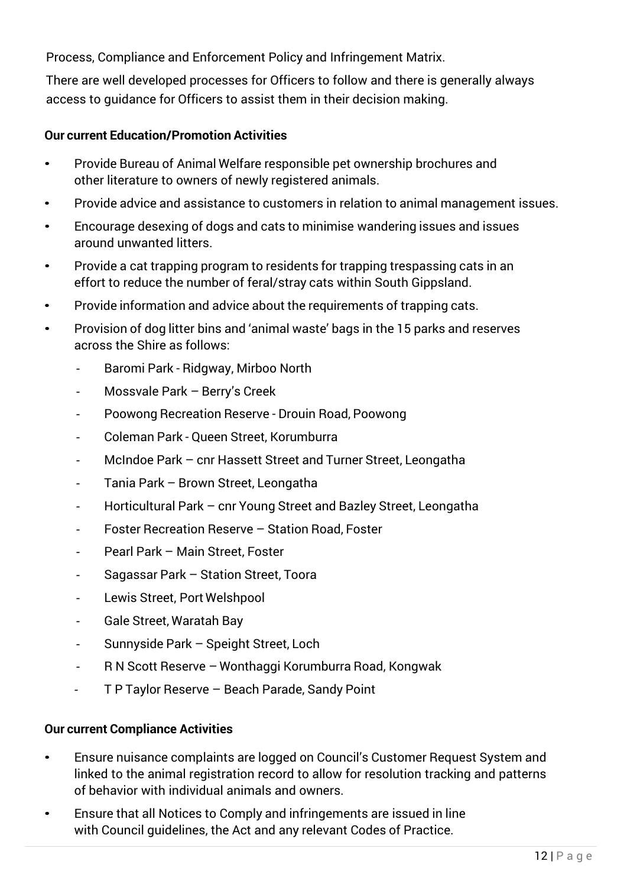Process, Compliance and Enforcement Policy and Infringement Matrix.

There are well developed processes for Officers to follow and there is generally always access to guidance for Officers to assist them in their decision making.

#### **Our current Education/Promotion Activities**

- Provide Bureau of Animal Welfare responsible pet ownership brochures and other literature to owners of newly registered animals.
- Provide advice and assistance to customers in relation to animal management issues.
- Encourage desexing of dogs and cats to minimise wandering issues and issues around unwanted litters.
- Provide a cat trapping program to residents for trapping trespassing cats in an effort to reduce the number of feral/stray cats within South Gippsland.
- Provide information and advice about the requirements of trapping cats.
- Provision of dog litter bins and 'animal waste' bags in the 15 parks and reserves across the Shire as follows:
	- *-* Baromi Park Ridgway, Mirboo North
	- *-* Mossvale Park Berry's Creek
	- *-* Poowong Recreation Reserve Drouin Road, Poowong
	- *-* Coleman Park Queen Street, Korumburra
	- *-* McIndoe Park cnr Hassett Street and Turner Street, Leongatha
	- *-* Tania Park Brown Street, Leongatha
	- *-* Horticultural Park cnr Young Street and Bazley Street, Leongatha
	- *-* Foster Recreation Reserve Station Road, Foster
	- *-* Pearl Park Main Street, Foster
	- *-* Sagassar Park Station Street, Toora
	- *-* Lewis Street, Port Welshpool
	- *-* Gale Street, Waratah Bay
	- *-* Sunnyside Park Speight Street, Loch
	- *-* R N Scott Reserve Wonthaggi Korumburra Road, Kongwak
	- *-* T P Taylor Reserve Beach Parade, Sandy Point

#### **Our current Compliance Activities**

- Ensure nuisance complaints are logged on Council's Customer Request System and linked to the animal registration record to allow for resolution tracking and patterns of behavior with individual animals and owners.
- Ensure that all Notices to Comply and infringements are issued in line with Council guidelines, the Act and any relevant Codes of Practice.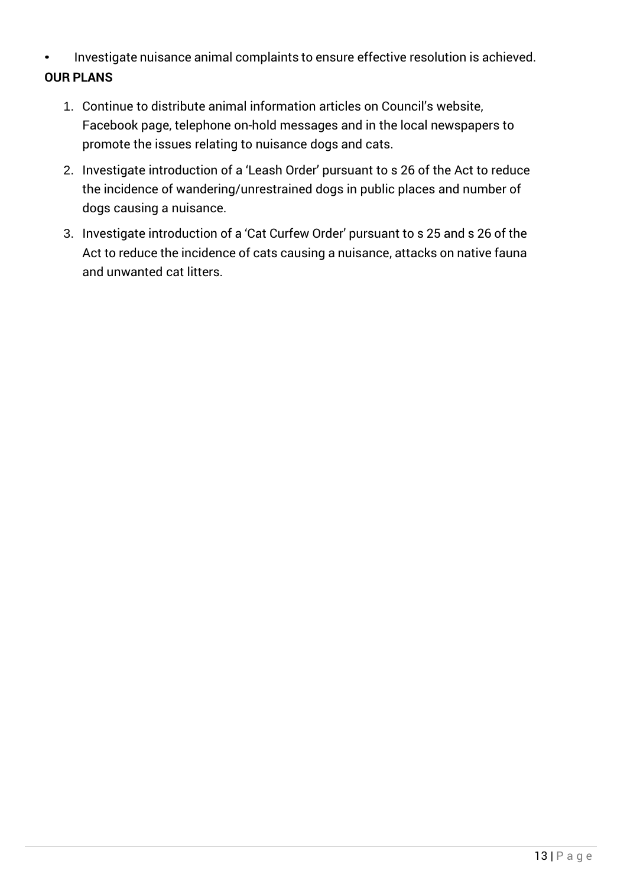- Investigate nuisance animal complaints to ensure effective resolution is achieved. **OUR PLANS**
	- 1. Continue to distribute animal information articles on Council's website, Facebook page, telephone on-hold messages and in the local newspapers to promote the issues relating to nuisance dogs and cats.
	- 2. Investigate introduction of a 'Leash Order' pursuant to s 26 of the Act to reduce the incidence of wandering/unrestrained dogs in public places and number of dogs causing a nuisance.
	- 3. Investigate introduction of a 'Cat Curfew Order' pursuant to s 25 and s 26 of the Act to reduce the incidence of cats causing a nuisance, attacks on native fauna and unwanted cat litters.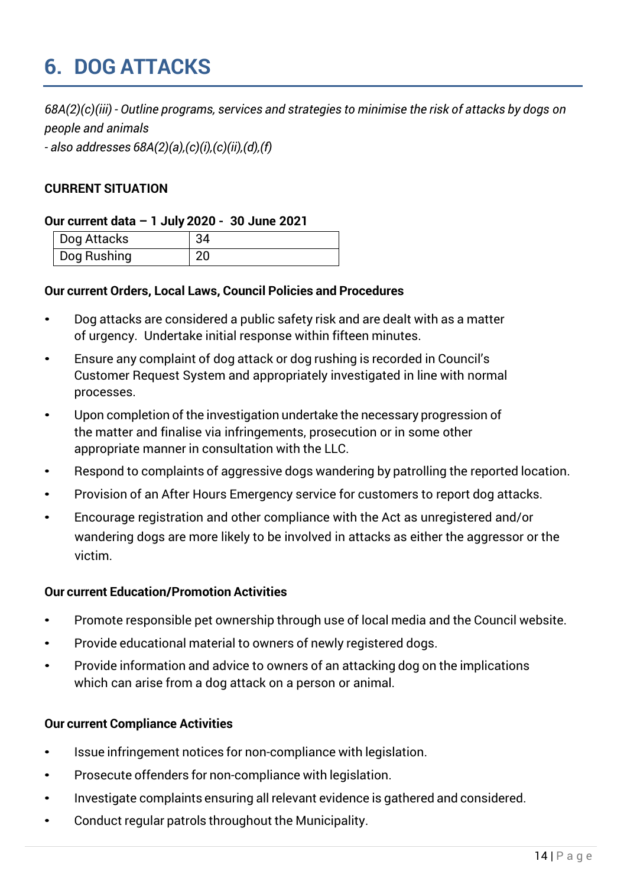## <span id="page-13-0"></span>**6. DOG ATTACKS**

*68A(2)(c)(iii) - Outline programs, services and strategies to minimise the risk of attacks by dogs on people and animals*

*- also addresses 68A(2)(a),(c)(i),(c)(ii),(d),(f)*

#### **CURRENT SITUATION**

#### **Our current data – 1 July 2020 - 30 June 2021**

| Dog Attacks | 34 |
|-------------|----|
| Dog Rushing |    |

#### **Our current Orders, Local Laws, Council Policies and Procedures**

- Dog attacks are considered a public safety risk and are dealt with as a matter of urgency. Undertake initial response within fifteen minutes.
- Ensure any complaint of dog attack or dog rushing is recorded in Council's Customer Request System and appropriately investigated in line with normal processes.
- Upon completion of the investigation undertake the necessary progression of the matter and finalise via infringements, prosecution or in some other appropriate manner in consultation with the LLC.
- Respond to complaints of aggressive dogs wandering by patrolling the reported location.
- Provision of an After Hours Emergency service for customers to report dog attacks.
- Encourage registration and other compliance with the Act as unregistered and/or wandering dogs are more likely to be involved in attacks as either the aggressor or the victim.

#### **Our current Education/Promotion Activities**

- Promote responsible pet ownership through use of local media and the Council website.
- Provide educational material to owners of newly registered dogs.
- Provide information and advice to owners of an attacking dog on the implications which can arise from a dog attack on a person or animal.

#### **Our current Compliance Activities**

- Issue infringement notices for non-compliance with legislation.
- Prosecute offenders for non-compliance with legislation.
- Investigate complaints ensuring all relevant evidence is gathered and considered.
- Conduct regular patrols throughout the Municipality.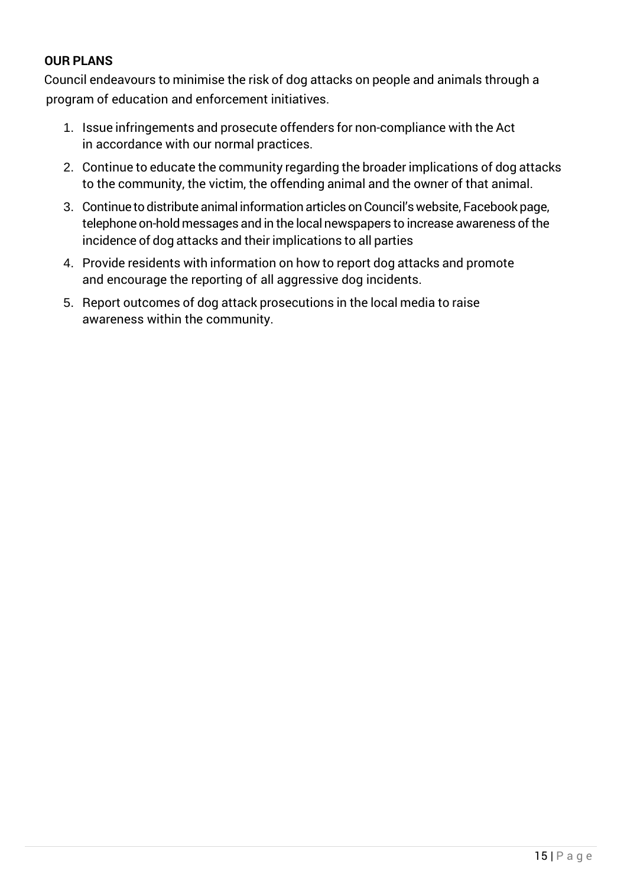#### **OUR PLANS**

Council endeavours to minimise the risk of dog attacks on people and animals through a program of education and enforcement initiatives.

- 1. Issue infringements and prosecute offenders for non-compliance with the Act in accordance with our normal practices.
- 2. Continue to educate the community regarding the broader implications of dog attacks to the community, the victim, the offending animal and the owner of that animal.
- 3. Continue to distribute animal information articles on Council's website, Facebook page, telephone on-hold messages and in the local newspapers to increase awareness of the incidence of dog attacks and their implications to all parties
- 4. Provide residents with information on how to report dog attacks and promote and encourage the reporting of all aggressive dog incidents.
- 5. Report outcomes of dog attack prosecutions in the local media to raise awareness within the community.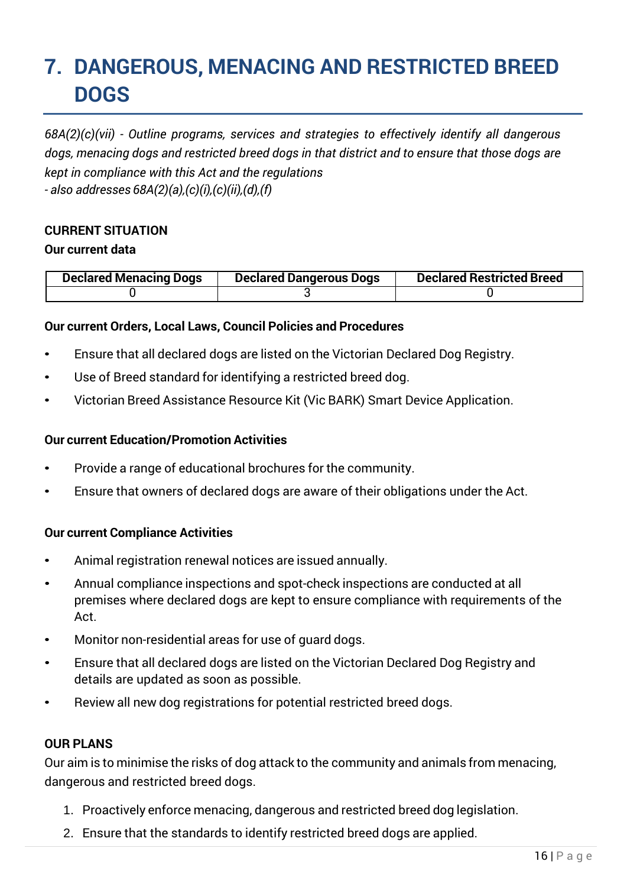### <span id="page-15-0"></span>**7. DANGEROUS, MENACING AND RESTRICTED BREED DOGS**

*68A(2)(c)(vii) - Outline programs, services and strategies to effectively identify all dangerous dogs, menacing dogs and restricted breed dogs in that district and to ensure that those dogs are kept in compliance with this Act and the regulations - also addresses 68A(2)(a),(c)(i),(c)(ii),(d),(f)*

#### **CURRENT SITUATION**

#### **Our current data**

| <b>Declared Menacing Dogs</b> | <b>Declared Dangerous Dogs</b> | <b>Declared Restricted Breed</b> |
|-------------------------------|--------------------------------|----------------------------------|
|                               |                                |                                  |

#### **Our current Orders, Local Laws, Council Policies and Procedures**

- Ensure that all declared dogs are listed on the Victorian Declared Dog Registry.
- Use of Breed standard for identifying a restricted breed dog.
- Victorian Breed Assistance Resource Kit (Vic BARK) Smart Device Application.

#### **Our current Education/Promotion Activities**

- Provide a range of educational brochures for the community.
- Ensure that owners of declared dogs are aware of their obligations under the Act.

#### **Our current Compliance Activities**

- Animal registration renewal notices are issued annually.
- Annual compliance inspections and spot-check inspections are conducted at all premises where declared dogs are kept to ensure compliance with requirements of the Act.
- Monitor non-residential areas for use of guard dogs.
- Ensure that all declared dogs are listed on the Victorian Declared Dog Registry and details are updated as soon as possible.
- Review all new dog registrations for potential restricted breed dogs.

#### **OUR PLANS**

Our aim is to minimise the risks of dog attack to the community and animals from menacing, dangerous and restricted breed dogs.

- 1. Proactively enforce menacing, dangerous and restricted breed dog legislation.
- 2. Ensure that the standards to identify restricted breed dogs are applied.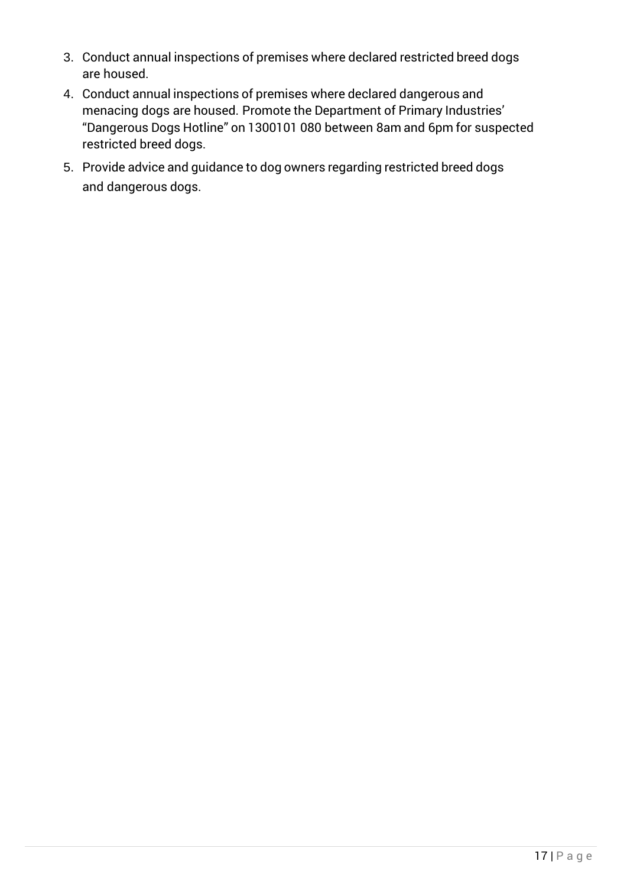- 3. Conduct annual inspections of premises where declared restricted breed dogs are housed.
- 4. Conduct annual inspections of premises where declared dangerous and menacing dogs are housed. Promote the Department of Primary Industries' "Dangerous Dogs Hotline" on 1300101 080 between 8am and 6pm for suspected restricted breed dogs.
- 5. Provide advice and guidance to dog owners regarding restricted breed dogs and dangerous dogs.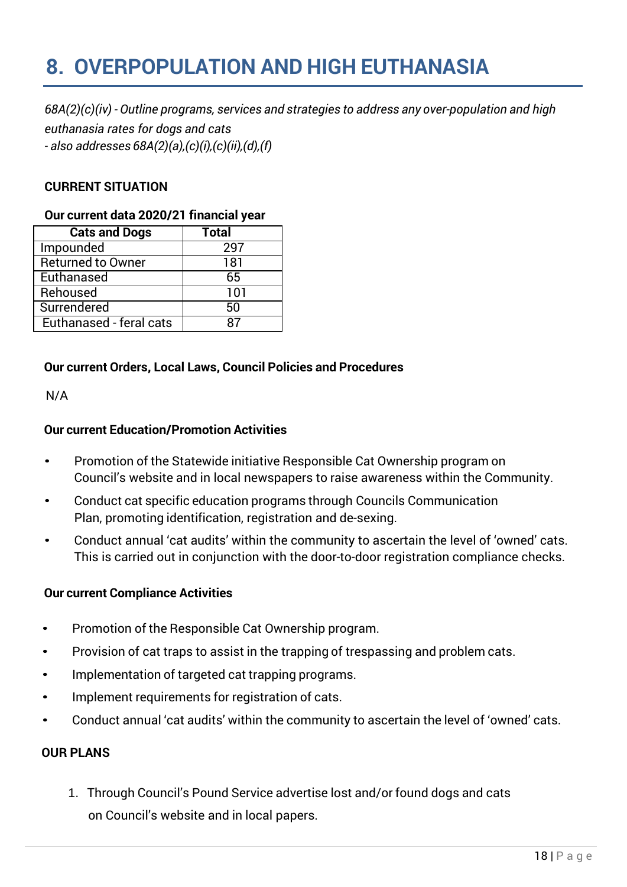## <span id="page-17-0"></span>**8. OVERPOPULATION AND HIGH EUTHANASIA**

*68A(2)(c)(iv) - Outline programs, services and strategies to address any over-population and high euthanasia rates for dogs and cats - also addresses 68A(2)(a),(c)(i),(c)(ii),(d),(f)*

#### **CURRENT SITUATION**

#### **Our current data 2020/21 financial year**

| <b>Cats and Dogs</b>     | Total |
|--------------------------|-------|
| Impounded                | 297   |
| <b>Returned to Owner</b> | 181   |
| Euthanased               | 65    |
| Rehoused                 | 101   |
| Surrendered              | 50    |
| Euthanased - feral cats  |       |

#### **Our current Orders, Local Laws, Council Policies and Procedures**

N/A

#### **Our current Education/Promotion Activities**

- Promotion of the Statewide initiative Responsible Cat Ownership program on Council's website and in local newspapers to raise awareness within the Community.
- Conduct cat specific education programs through Councils Communication Plan, promoting identification, registration and de-sexing.
- Conduct annual 'cat audits' within the community to ascertain the level of 'owned' cats. This is carried out in conjunction with the door-to-door registration compliance checks.

#### **Our current Compliance Activities**

- Promotion of the Responsible Cat Ownership program.
- Provision of cat traps to assist in the trapping of trespassing and problem cats.
- Implementation of targeted cat trapping programs.
- Implement requirements for registration of cats.
- Conduct annual 'cat audits' within the community to ascertain the level of 'owned' cats.

#### **OUR PLANS**

1. Through Council's Pound Service advertise lost and/or found dogs and cats on Council's website and in local papers.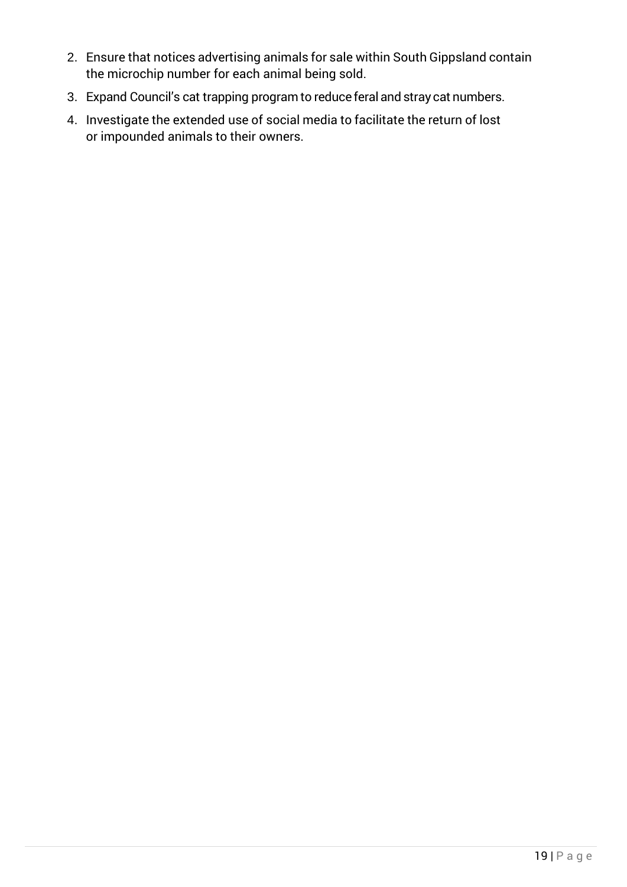- 2. Ensure that notices advertising animals for sale within South Gippsland contain the microchip number for each animal being sold.
- 3. Expand Council's cat trapping program to reduce feral and stray cat numbers.
- 4. Investigate the extended use of social media to facilitate the return of lost or impounded animals to their owners.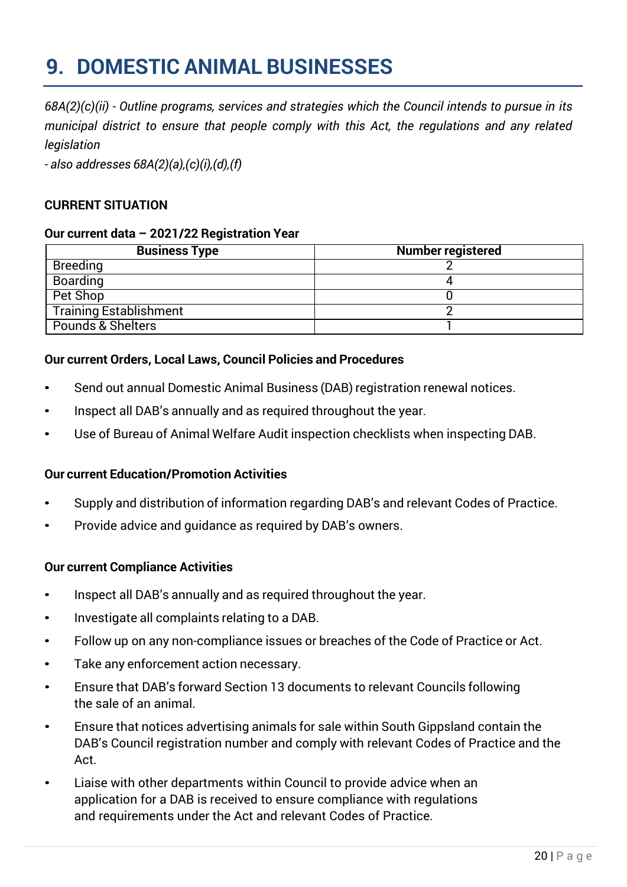### <span id="page-19-0"></span>**9. DOMESTIC ANIMAL BUSINESSES**

*68A(2)(c)(ii) - Outline programs, services and strategies which the Council intends to pursue in its municipal district to ensure that people comply with this Act, the regulations and any related legislation*

*- also addresses 68A(2)(a),(c)(i),(d),(f)*

#### **CURRENT SITUATION**

#### **Our current data – 2021/22 Registration Year**

| <b>Business Type</b>          | <b>Number registered</b> |
|-------------------------------|--------------------------|
| <b>Breeding</b>               |                          |
| <b>Boarding</b>               |                          |
| Pet Shop                      |                          |
| <b>Training Establishment</b> |                          |
| Pounds & Shelters             |                          |

#### **Our current Orders, Local Laws, Council Policies and Procedures**

- Send out annual Domestic Animal Business (DAB) registration renewal notices.
- Inspect all DAB's annually and as required throughout the year.
- Use of Bureau of Animal Welfare Audit inspection checklists when inspecting DAB.

#### **Our current Education/Promotion Activities**

- Supply and distribution of information regarding DAB's and relevant Codes of Practice.
- Provide advice and guidance as required by DAB's owners.

#### **Our current Compliance Activities**

- Inspect all DAB's annually and as required throughout the year.
- Investigate all complaints relating to a DAB.
- Follow up on any non-compliance issues or breaches of the Code of Practice or Act.
- Take any enforcement action necessary.
- Ensure that DAB's forward Section 13 documents to relevant Councils following the sale of an animal.
- Ensure that notices advertising animals for sale within South Gippsland contain the DAB's Council registration number and comply with relevant Codes of Practice and the Act.
- Liaise with other departments within Council to provide advice when an application for a DAB is received to ensure compliance with regulations and requirements under the Act and relevant Codes of Practice.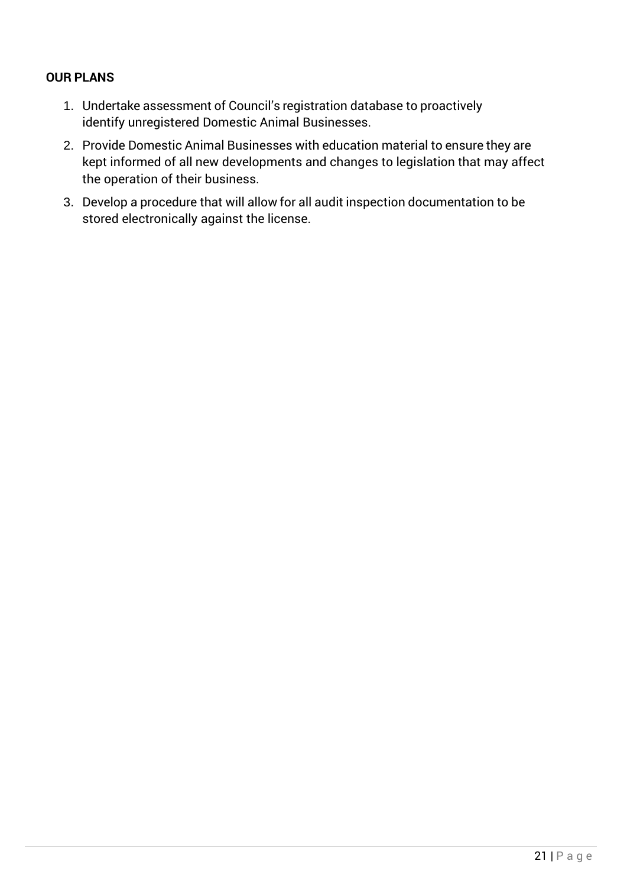- 1. Undertake assessment of Council's registration database to proactively identify unregistered Domestic Animal Businesses.
- 2. Provide Domestic Animal Businesses with education material to ensure they are kept informed of all new developments and changes to legislation that may affect the operation of their business.
- 3. Develop a procedure that will allow for all audit inspection documentation to be stored electronically against the license.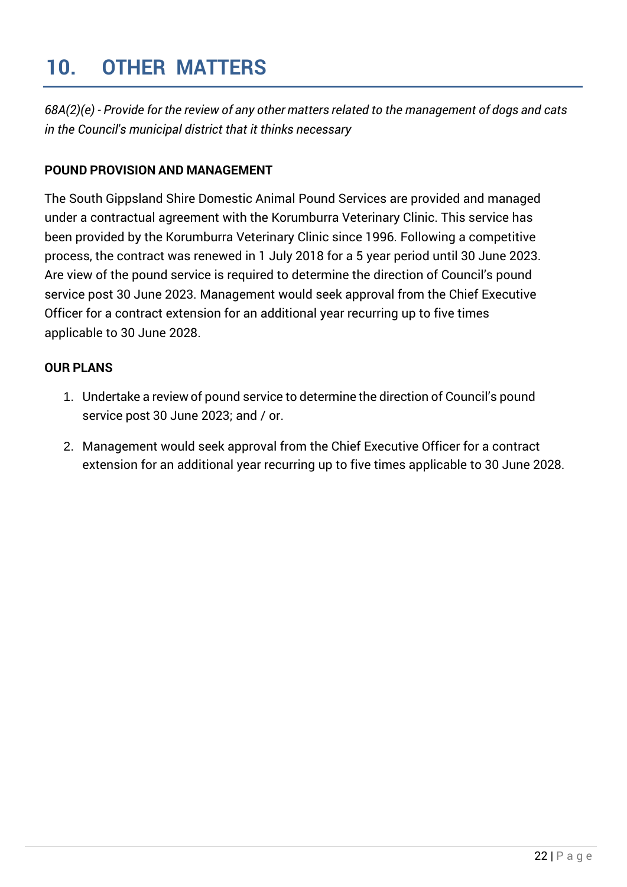### <span id="page-21-0"></span>**10. OTHER MATTERS**

*68A(2)(e) - Provide for the review of any other matters related to the management of dogs and cats in the Council's municipal district that it thinks necessary*

#### **POUND PROVISION AND MANAGEMENT**

The South Gippsland Shire Domestic Animal Pound Services are provided and managed under a contractual agreement with the Korumburra Veterinary Clinic. This service has been provided by the Korumburra Veterinary Clinic since 1996. Following a competitive process, the contract was renewed in 1 July 2018 for a 5 year period until 30 June 2023. Are view of the pound service is required to determine the direction of Council's pound service post 30 June 2023. Management would seek approval from the Chief Executive Officer for a contract extension for an additional year recurring up to five times applicable to 30 June 2028.

- 1. Undertake a review of pound service to determine the direction of Council's pound service post 30 June 2023; and / or.
- 2. Management would seek approval from the Chief Executive Officer for a contract extension for an additional year recurring up to five times applicable to 30 June 2028.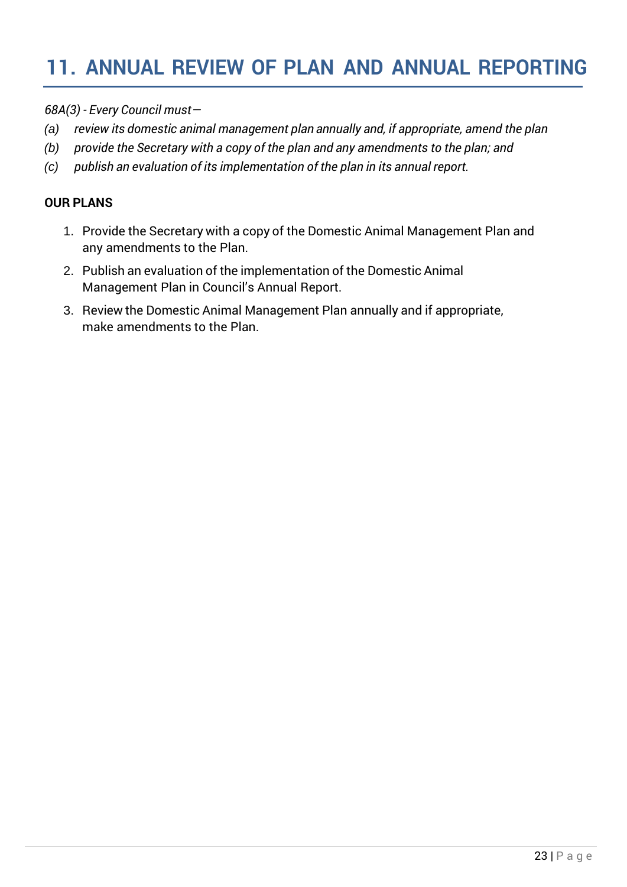### <span id="page-22-0"></span>**11. ANNUAL REVIEW OF PLAN AND ANNUAL REPORTING**

*68A(3) - Every Council must—*

- *(a) review its domestic animal management plan annually and, if appropriate, amend the plan*
- *(b) provide the Secretary with a copy of the plan and any amendments to the plan; and*
- *(c) publish an evaluation of its implementation of the plan in its annual report.*

- 1. Provide the Secretary with a copy of the Domestic Animal Management Plan and any amendments to the Plan.
- 2. Publish an evaluation of the implementation of the Domestic Animal Management Plan in Council's Annual Report.
- 3. Review the Domestic Animal Management Plan annually and if appropriate, make amendments to the Plan.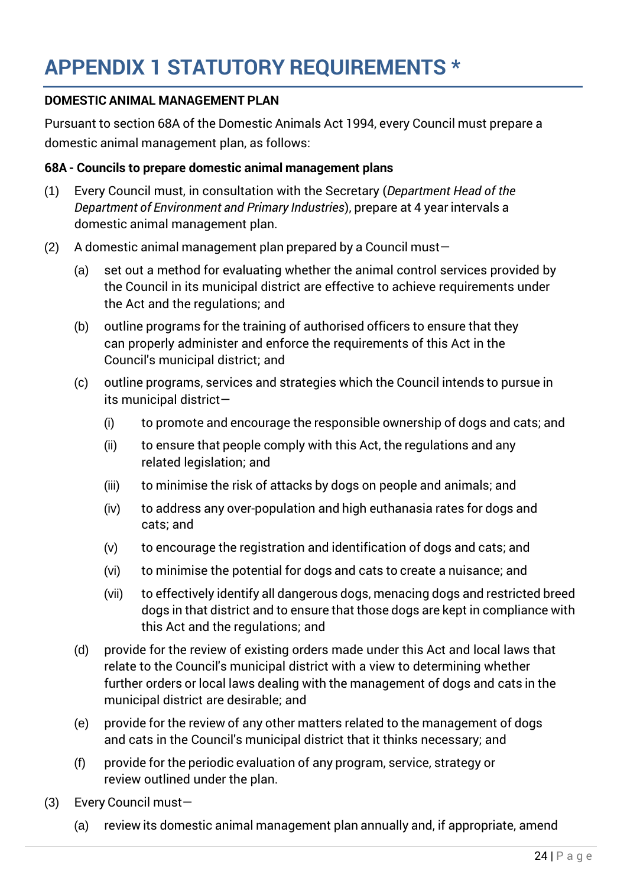#### <span id="page-23-0"></span>**DOMESTIC ANIMAL MANAGEMENT PLAN**

Pursuant to section 68A of the Domestic Animals Act 1994, every Council must prepare a domestic animal management plan, as follows:

#### **68A - Councils to prepare domestic animal management plans**

- (1) Every Council must, in consultation with the Secretary (*Department Head of the Department of Environment and Primary Industries*), prepare at 4 year intervals a domestic animal management plan.
- (2) A domestic animal management plan prepared by a Council must-
	- (a) set out a method for evaluating whether the animal control services provided by the Council in its municipal district are effective to achieve requirements under the Act and the regulations; and
	- (b) outline programs for the training of authorised officers to ensure that they can properly administer and enforce the requirements of this Act in the Council's municipal district; and
	- (c) outline programs, services and strategies which the Council intends to pursue in its municipal district—
		- (i) to promote and encourage the responsible ownership of dogs and cats; and
		- (ii) to ensure that people comply with this Act, the regulations and any related legislation; and
		- (iii) to minimise the risk of attacks by dogs on people and animals; and
		- (iv) to address any over-population and high euthanasia rates for dogs and cats; and
		- (v) to encourage the registration and identification of dogs and cats; and
		- (vi) to minimise the potential for dogs and cats to create a nuisance; and
		- (vii) to effectively identify all dangerous dogs, menacing dogs and restricted breed dogs in that district and to ensure that those dogs are kept in compliance with this Act and the regulations; and
	- (d) provide for the review of existing orders made under this Act and local laws that relate to the Council's municipal district with a view to determining whether further orders or local laws dealing with the management of dogs and cats in the municipal district are desirable; and
	- (e) provide for the review of any other matters related to the management of dogs and cats in the Council's municipal district that it thinks necessary; and
	- (f) provide for the periodic evaluation of any program, service, strategy or review outlined under the plan.
- (3) Every Council must—
	- (a) review its domestic animal management plan annually and, if appropriate, amend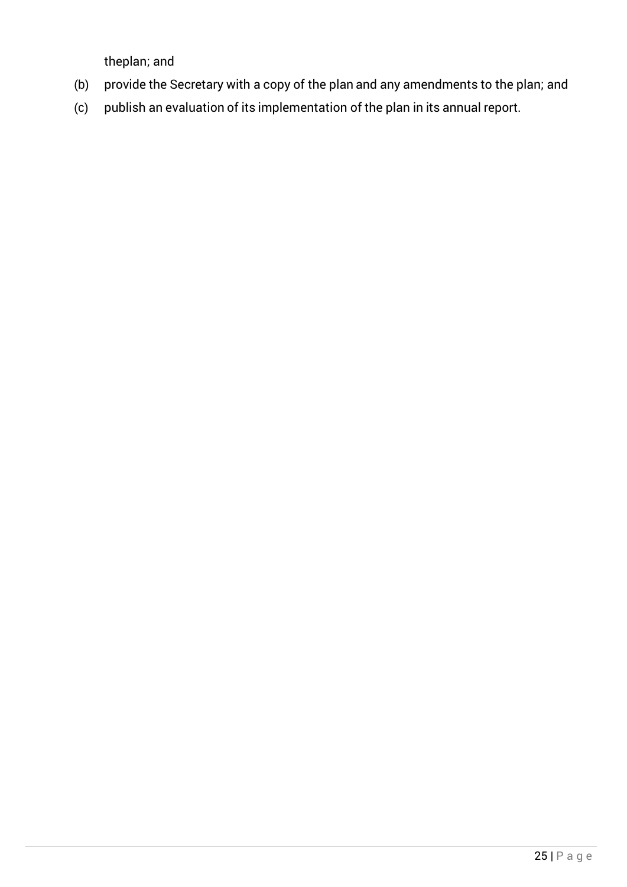theplan; and

- (b) provide the Secretary with a copy of the plan and any amendments to the plan; and
- (c) publish an evaluation of its implementation of the plan in its annual report.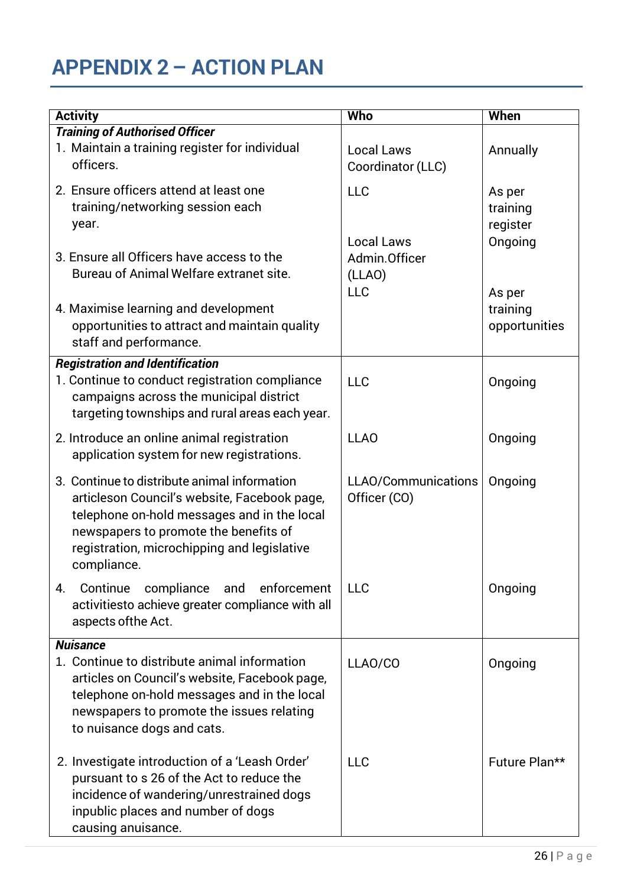## **APPENDIX 2 – ACTION PLAN**

| <b>Activity</b>                                                                                                                                                                                                                                    | Who                                    | When                                      |
|----------------------------------------------------------------------------------------------------------------------------------------------------------------------------------------------------------------------------------------------------|----------------------------------------|-------------------------------------------|
| <b>Training of Authorised Officer</b>                                                                                                                                                                                                              |                                        |                                           |
| 1. Maintain a training register for individual<br>officers.                                                                                                                                                                                        | <b>Local Laws</b><br>Coordinator (LLC) | Annually                                  |
| 2. Ensure officers attend at least one<br>training/networking session each<br>year.                                                                                                                                                                | <b>LLC</b><br><b>Local Laws</b>        | As per<br>training<br>register<br>Ongoing |
| 3. Ensure all Officers have access to the<br>Bureau of Animal Welfare extranet site.                                                                                                                                                               | Admin.Officer<br>(LLAO)<br><b>LLC</b>  | As per                                    |
| 4. Maximise learning and development<br>opportunities to attract and maintain quality<br>staff and performance.                                                                                                                                    |                                        | training<br>opportunities                 |
| <b>Registration and Identification</b><br>1. Continue to conduct registration compliance<br>campaigns across the municipal district<br>targeting townships and rural areas each year.                                                              | <b>LLC</b>                             | Ongoing                                   |
| 2. Introduce an online animal registration<br>application system for new registrations.                                                                                                                                                            | <b>LLAO</b>                            | Ongoing                                   |
| 3. Continue to distribute animal information<br>articleson Council's website, Facebook page,<br>telephone on-hold messages and in the local<br>newspapers to promote the benefits of<br>registration, microchipping and legislative<br>compliance. | LLAO/Communications<br>Officer (CO)    | Ongoing                                   |
| compliance and<br>4.<br>Continue<br>enforcement<br>activitiesto achieve greater compliance with all<br>aspects of the Act.                                                                                                                         | <b>LLC</b>                             | Ongoing                                   |
| <b>Nuisance</b>                                                                                                                                                                                                                                    |                                        |                                           |
| 1. Continue to distribute animal information<br>articles on Council's website, Facebook page,<br>telephone on-hold messages and in the local<br>newspapers to promote the issues relating<br>to nuisance dogs and cats.                            | LLAO/CO                                | Ongoing                                   |
| 2. Investigate introduction of a 'Leash Order'<br>pursuant to s 26 of the Act to reduce the<br>incidence of wandering/unrestrained dogs<br>inpublic places and number of dogs<br>causing anuisance.                                                | <b>LLC</b>                             | Future Plan**                             |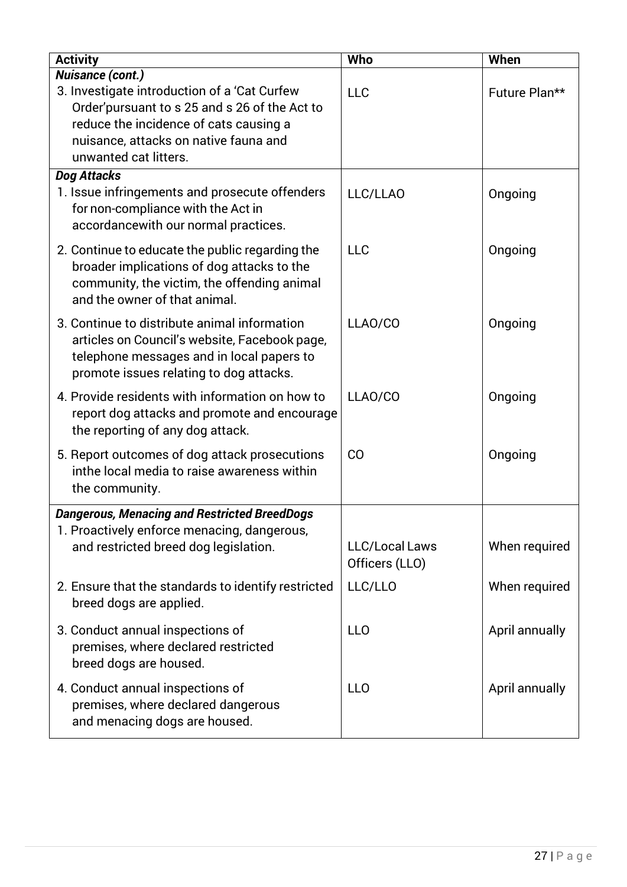| <b>Activity</b>                                                                                                                                                                       | <b>Who</b>                              | When           |
|---------------------------------------------------------------------------------------------------------------------------------------------------------------------------------------|-----------------------------------------|----------------|
| <b>Nuisance (cont.)</b>                                                                                                                                                               |                                         |                |
| 3. Investigate introduction of a 'Cat Curfew<br>Order' pursuant to s 25 and s 26 of the Act to                                                                                        | <b>LLC</b>                              | Future Plan**  |
| reduce the incidence of cats causing a                                                                                                                                                |                                         |                |
| nuisance, attacks on native fauna and                                                                                                                                                 |                                         |                |
| unwanted cat litters.                                                                                                                                                                 |                                         |                |
| Dog Attacks                                                                                                                                                                           |                                         |                |
| 1. Issue infringements and prosecute offenders<br>for non-compliance with the Act in<br>accordancewith our normal practices.                                                          | LLC/LLAO                                | Ongoing        |
| 2. Continue to educate the public regarding the<br>broader implications of dog attacks to the<br>community, the victim, the offending animal<br>and the owner of that animal.         | <b>LLC</b>                              | Ongoing        |
| 3. Continue to distribute animal information<br>articles on Council's website, Facebook page,<br>telephone messages and in local papers to<br>promote issues relating to dog attacks. | LLAO/CO                                 | Ongoing        |
| 4. Provide residents with information on how to<br>report dog attacks and promote and encourage<br>the reporting of any dog attack.                                                   | LLAO/CO                                 | Ongoing        |
| 5. Report outcomes of dog attack prosecutions<br>inthe local media to raise awareness within<br>the community.                                                                        | CO                                      | Ongoing        |
| <b>Dangerous, Menacing and Restricted BreedDogs</b>                                                                                                                                   |                                         |                |
| 1. Proactively enforce menacing, dangerous,                                                                                                                                           |                                         |                |
| and restricted breed dog legislation.                                                                                                                                                 | <b>LLC/Local Laws</b><br>Officers (LLO) | When required  |
| 2. Ensure that the standards to identify restricted<br>breed dogs are applied.                                                                                                        | LLC/LLO                                 | When required  |
| 3. Conduct annual inspections of<br>premises, where declared restricted<br>breed dogs are housed.                                                                                     | <b>LLO</b>                              | April annually |
| 4. Conduct annual inspections of<br>premises, where declared dangerous<br>and menacing dogs are housed.                                                                               | <b>LLO</b>                              | April annually |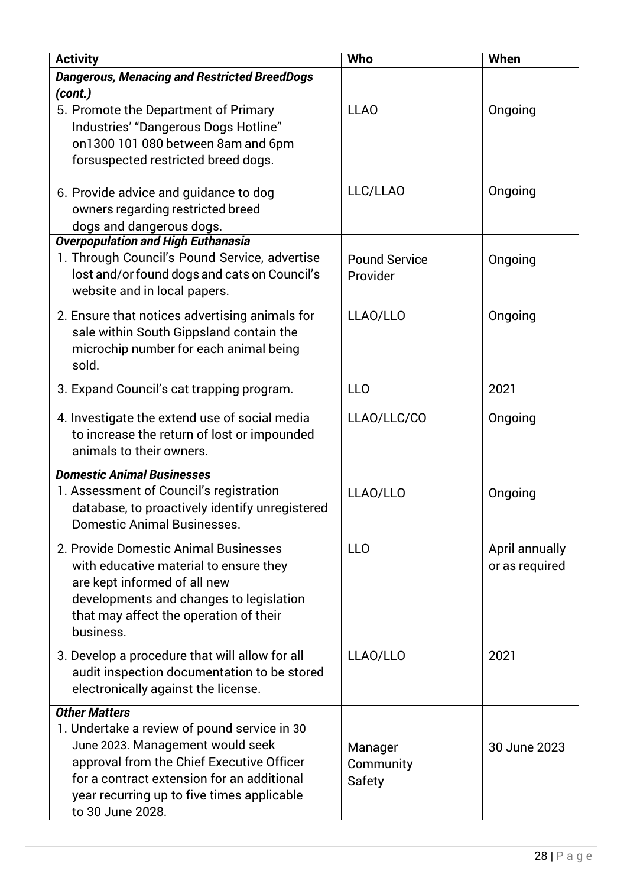| <b>Activity</b>                                                                                                                                                                                                                                                       | <b>Who</b>                       | When                             |
|-----------------------------------------------------------------------------------------------------------------------------------------------------------------------------------------------------------------------------------------------------------------------|----------------------------------|----------------------------------|
| <b>Dangerous, Menacing and Restricted BreedDogs</b>                                                                                                                                                                                                                   |                                  |                                  |
| (cont.)<br>5. Promote the Department of Primary<br>Industries' "Dangerous Dogs Hotline"<br>on1300 101 080 between 8am and 6pm<br>forsuspected restricted breed dogs.                                                                                                  | <b>LLAO</b>                      | Ongoing                          |
| 6. Provide advice and guidance to dog<br>owners regarding restricted breed<br>dogs and dangerous dogs.                                                                                                                                                                | LLC/LLAO                         | Ongoing                          |
| <b>Overpopulation and High Euthanasia</b><br>1. Through Council's Pound Service, advertise<br>lost and/or found dogs and cats on Council's<br>website and in local papers.                                                                                            | <b>Pound Service</b><br>Provider | Ongoing                          |
| 2. Ensure that notices advertising animals for<br>sale within South Gippsland contain the<br>microchip number for each animal being<br>sold.                                                                                                                          | LLAO/LLO                         | Ongoing                          |
| 3. Expand Council's cat trapping program.                                                                                                                                                                                                                             | <b>LLO</b>                       | 2021                             |
| 4. Investigate the extend use of social media<br>to increase the return of lost or impounded<br>animals to their owners.                                                                                                                                              | LLAO/LLC/CO                      | Ongoing                          |
| <b>Domestic Animal Businesses</b><br>1. Assessment of Council's registration<br>database, to proactively identify unregistered<br><b>Domestic Animal Businesses.</b>                                                                                                  | LLAO/LLO                         | Ongoing                          |
| 2. Provide Domestic Animal Businesses<br>with educative material to ensure they<br>are kept informed of all new<br>developments and changes to legislation<br>that may affect the operation of their<br>business.                                                     | <b>LLO</b>                       | April annually<br>or as required |
| 3. Develop a procedure that will allow for all<br>audit inspection documentation to be stored<br>electronically against the license.                                                                                                                                  | LLAO/LLO                         | 2021                             |
| <b>Other Matters</b><br>1. Undertake a review of pound service in 30<br>June 2023. Management would seek<br>approval from the Chief Executive Officer<br>for a contract extension for an additional<br>year recurring up to five times applicable<br>to 30 June 2028. | Manager<br>Community<br>Safety   | 30 June 2023                     |